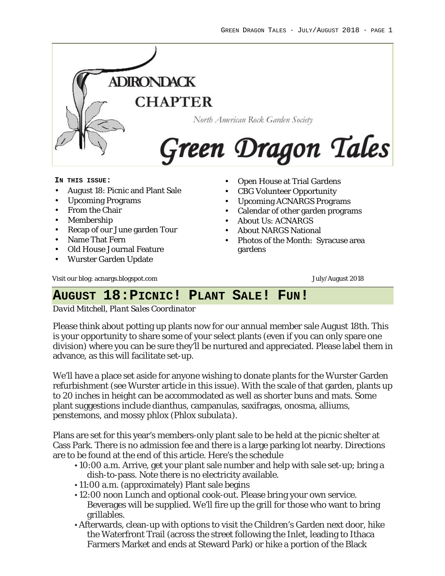

#### **IN THIS ISSUE:**

- August 18: Picnic and Plant Sale
- Upcoming Programs
- From the Chair
- Membership
- Recap of our June garden Tour
- Name That Fern
- Old House Journal Feature
- Wurster Garden Update
- Open House at Trial Gardens
- CBG Volunteer Opportunity
- Upcoming ACNARGS Programs
- Calendar of other garden programs
- About Us: ACNARGS
- About NARGS National
- Photos of the Month: Syracuse area gardens

Visit our blog: acnargs.blogspot.com **July/August 2018 July/August 2018** 

# **AUGUST 18:PICNIC! PLANT SALE! FUN!**

*David Mitchell, Plant Sales Coordinator*

Please think about potting up plants now for our annual member sale August 18th. This is your opportunity to share some of your select plants (even if you can only spare one division) where you can be sure they'll be nurtured and appreciated. Please label them in advance, as this will facilitate set-up.

We'll have a place set aside for anyone wishing to donate plants for the Wurster Garden refurbishment (see Wurster article in this issue). With the scale of that garden, plants up to 20 inches in height can be accommodated as well as shorter buns and mats. Some plant suggestions include dianthus, campanulas, saxifragas, onosma, alliums, penstemons, and mossy phlox (*Phlox subulata*).

Plans are set for this year's members-only plant sale to be held at the picnic shelter at Cass Park. There is no admission fee and there is a large parking lot nearby. Directions are to be found at the end of this article. Here's the schedule

- 10:00 a.m. Arrive, get your plant sale number and help with sale set-up; bring a dish-to-pass. Note there is no electricity available.
- 11:00 a.m. (approximately) Plant sale begins
- 12:00 noon Lunch and optional cook-out. Please bring your own service. Beverages will be supplied. We'll fire up the grill for those who want to bring grillables.
- Afterwards, clean-up with options to visit the Children's Garden next door, hike the Waterfront Trail (across the street following the Inlet, leading to Ithaca Farmers Market and ends at Steward Park) or hike a portion of the Black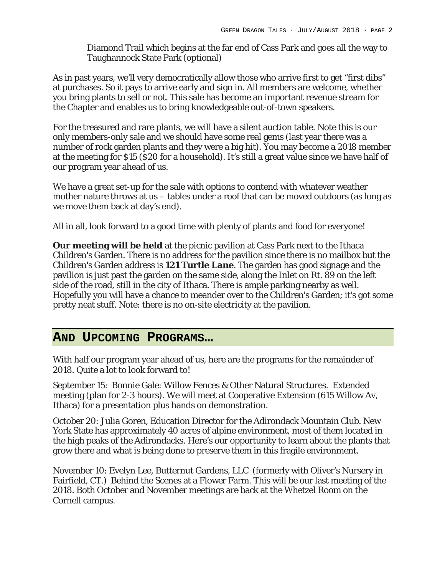Diamond Trail which begins at the far end of Cass Park and goes all the way to Taughannock State Park (optional)

As in past years, we'll very democratically allow those who arrive first to get "first dibs" at purchases. So it pays to arrive early and sign in. All members are welcome, whether you bring plants to sell or not. This sale has become an important revenue stream for the Chapter and enables us to bring knowledgeable out-of-town speakers.

For the treasured and rare plants, we will have a silent auction table. Note this is our only members-only sale and we should have some real gems (last year there was a number of rock garden plants and they were a big hit). You may become a 2018 member at the meeting for \$15 (\$20 for a household). It's still a great value since we have half of our program year ahead of us.

We have a great set-up for the sale with options to contend with whatever weather mother nature throws at us – tables under a roof that can be moved outdoors (as long as we move them back at day's end).

All in all, look forward to a good time with plenty of plants and food for everyone!

**Our meeting will be held** at the picnic pavilion at Cass Park next to the Ithaca Children's Garden. There is no address for the pavilion since there is no mailbox but the Children's Garden address is **121 Turtle Lane**. The garden has good signage and the pavilion is just past the garden on the same side, along the Inlet on Rt. 89 on the left side of the road, still in the city of Ithaca. There is ample parking nearby as well. Hopefully you will have a chance to meander over to the Children's Garden; it's got some pretty neat stuff. Note: there is no on-site electricity at the pavilion.

## **AND UPCOMING PROGRAMS…**

With half our program year ahead of us, here are the programs for the remainder of 2018. Quite a lot to look forward to!

September 15: Bonnie Gale: Willow Fences & Other Natural Structures. Extended meeting (plan for 2-3 hours). We will meet at Cooperative Extension (615 Willow Av, Ithaca) for a presentation plus hands on demonstration.

October 20: Julia Goren, Education Director for the Adirondack Mountain Club. New York State has approximately 40 acres of alpine environment, most of them located in the high peaks of the Adirondacks. Here's our opportunity to learn about the plants that grow there and what is being done to preserve them in this fragile environment.

November 10: Evelyn Lee, Butternut Gardens, LLC (formerly with Oliver's Nursery in Fairfield, CT.) Behind the Scenes at a Flower Farm. This will be our last meeting of the 2018. Both October and November meetings are back at the Whetzel Room on the Cornell campus.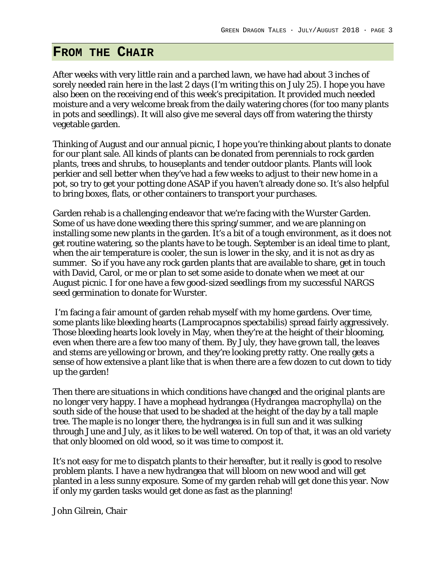## **FROM THE CHAIR**

After weeks with very little rain and a parched lawn, we have had about 3 inches of sorely needed rain here in the last 2 days (I'm writing this on July 25). I hope you have also been on the receiving end of this week's precipitation. It provided much needed moisture and a very welcome break from the daily watering chores (for too many plants in pots and seedlings). It will also give me several days off from watering the thirsty vegetable garden.

Thinking of August and our annual picnic, I hope you're thinking about plants to donate for our plant sale. All kinds of plants can be donated from perennials to rock garden plants, trees and shrubs, to houseplants and tender outdoor plants. Plants will look perkier and sell better when they've had a few weeks to adjust to their new home in a pot, so try to get your potting done ASAP if you haven't already done so. It's also helpful to bring boxes, flats, or other containers to transport your purchases.

Garden rehab is a challenging endeavor that we're facing with the Wurster Garden. Some of us have done weeding there this spring/summer, and we are planning on installing some new plants in the garden. It's a bit of a tough environment, as it does not get routine watering, so the plants have to be tough. September is an ideal time to plant, when the air temperature is cooler, the sun is lower in the sky, and it is not as dry as summer. So if you have any rock garden plants that are available to share, get in touch with David, Carol, or me or plan to set some aside to donate when we meet at our August picnic. I for one have a few good-sized seedlings from my successful NARGS seed germination to donate for Wurster.

I'm facing a fair amount of garden rehab myself with my home gardens. Over time, some plants like bleeding hearts (*Lamprocapnos spectabilis*) spread fairly aggressively. Those bleeding hearts look lovely in May, when they're at the height of their blooming, even when there are a few too many of them. By July, they have grown tall, the leaves and stems are yellowing or brown, and they're looking pretty ratty. One really gets a sense of how extensive a plant like that is when there are a few dozen to cut down to tidy up the garden!

Then there are situations in which conditions have changed and the original plants are no longer very happy. I have a mophead hydrangea (*Hydrangea macrophyl*la) on the south side of the house that used to be shaded at the height of the day by a tall maple tree. The maple is no longer there, the hydrangea is in full sun and it was sulking through June and July, as it likes to be well watered. On top of that, it was an old variety that only bloomed on old wood, so it was time to compost it.

It's not easy for me to dispatch plants to their hereafter, but it really is good to resolve problem plants. I have a new hydrangea that will bloom on new wood and will get planted in a less sunny exposure. Some of my garden rehab will get done this year. Now if only my garden tasks would get done as fast as the planning!

John Gilrein, Chair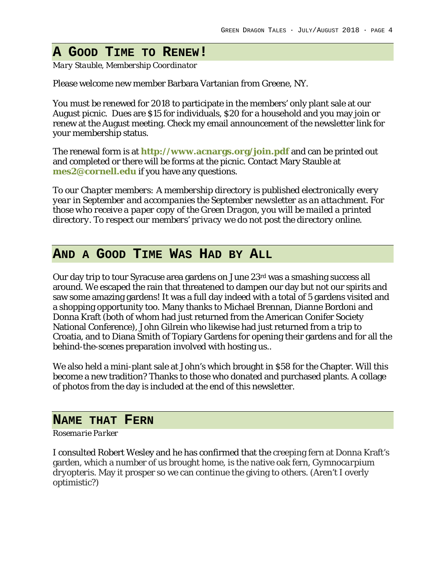## **A GOOD TIME TO RENEW!**

*Mary Stauble, Membership Coordinator*

Please welcome new member Barbara Vartanian from Greene, NY.

You must be renewed for 2018 to participate in the members' only plant sale at our August picnic. Dues are \$15 for individuals, \$20 for a household and you may join or renew at the August meeting. Check my email announcement of the newsletter link for your membership status.

The renewal form is at **http://www.acnargs.org/join.pdf** and can be printed out and completed or there will be forms at the picnic. Contact Mary Stauble at **mes2@cornell.edu** if you have any questions.

*To our Chapter members: A membership directory is published electronically every year in September and accompanies the September newsletter as an attachment. For those who receive a paper copy of the Green Dragon, you will be mailed a printed directory. To respect our members' privacy we do not post the directory online.*

## **AND A GOOD TIME WAS HAD BY ALL**

Our day trip to tour Syracuse area gardens on June 23rd was a smashing success all around. We escaped the rain that threatened to dampen our day but not our spirits and saw some amazing gardens! It was a full day indeed with a total of 5 gardens visited and a shopping opportunity too. Many thanks to Michael Brennan, Dianne Bordoni and Donna Kraft (both of whom had just returned from the American Conifer Society National Conference), John Gilrein who likewise had just returned from a trip to Croatia, and to Diana Smith of Topiary Gardens for opening their gardens and for all the behind-the-scenes preparation involved with hosting us..

We also held a mini-plant sale at John's which brought in \$58 for the Chapter. Will this become a new tradition? Thanks to those who donated and purchased plants. A collage of photos from the day is included at the end of this newsletter.

### **NAME THAT FERN**

#### *Rosemarie Parker*

I consulted Robert Wesley and he has confirmed that the creeping fern at Donna Kraft's garden, which a number of us brought home, is the native oak fern, *Gymnocarpium dryopteris*. May it prosper so we can continue the giving to others. (Aren't I overly optimistic?)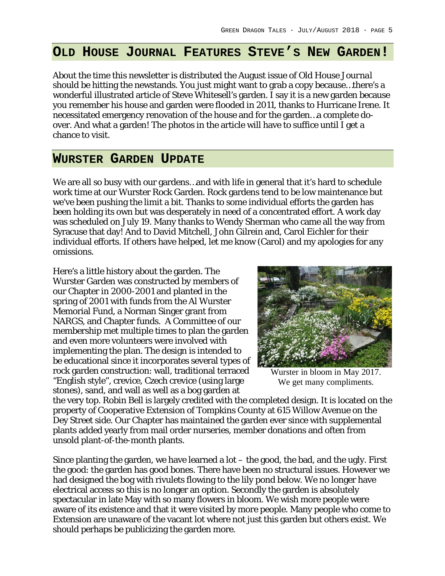### **OLD HOUSE JOURNAL FEATURES STEVE'S NEW GARDEN!**

About the time this newsletter is distributed the August issue of *Old House Journal* should be hitting the newstands. You just might want to grab a copy because…there's a wonderful illustrated article of Steve Whitesell's garden. I say it is a new garden because you remember his house and garden were flooded in 2011, thanks to Hurricane Irene. It necessitated emergency renovation of the house and for the garden…a complete doover. And what a garden! The photos in the article will have to suffice until I get a chance to visit.

### **WURSTER GARDEN UPDATE**

We are all so busy with our gardens...and with life in general that it's hard to schedule work time at our Wurster Rock Garden. Rock gardens tend to be low maintenance but we've been pushing the limit a bit. Thanks to some individual efforts the garden has been holding its own but was desperately in need of a concentrated effort. A work day was scheduled on July 19. Many thanks to Wendy Sherman who came all the way from Syracuse that day! And to David Mitchell, John Gilrein and, Carol Eichler for their individual efforts. If others have helped, let me know (Carol) and my apologies for any omissions.

Here's a little history about the garden. The Wurster Garden was constructed by members of our Chapter in 2000-2001 and planted in the spring of 2001 with funds from the Al Wurster Memorial Fund, a Norman Singer grant from NARGS, and Chapter funds. A Committee of our membership met multiple times to plan the garden and even more volunteers were involved with implementing the plan. The design is intended to be educational since it incorporates several types of rock garden construction: wall, traditional terraced "English style", crevice, Czech crevice (using large stones), sand, and wall as well as a bog garden at



Wurster in bloom in May 2017. We get many compliments.

the very top. Robin Bell is largely credited with the completed design. It is located on the property of Cooperative Extension of Tompkins County at 615 Willow Avenue on the Dey Street side. Our Chapter has maintained the garden ever since with supplemental plants added yearly from mail order nurseries, member donations and often from unsold plant-of-the-month plants.

Since planting the garden, we have learned a lot – the good, the bad, and the ugly. First the good: the garden has good bones. There have been no structural issues. However we had designed the bog with rivulets flowing to the lily pond below. We no longer have electrical access so this is no longer an option. Secondly the garden is absolutely spectacular in late May with so many flowers in bloom. We wish more people were aware of its existence and that it were visited by more people. Many people who come to Extension are unaware of the vacant lot where not just this garden but others exist. We should perhaps be publicizing the garden more.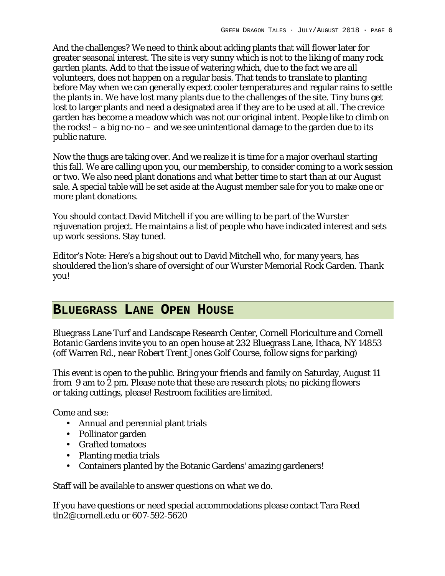And the challenges? We need to think about adding plants that will flower later for greater seasonal interest. The site is very sunny which is not to the liking of many rock garden plants. Add to that the issue of watering which, due to the fact we are all volunteers, does not happen on a regular basis. That tends to translate to planting before May when we can generally expect cooler temperatures and regular rains to settle the plants in. We have lost many plants due to the challenges of the site. Tiny buns get lost to larger plants and need a designated area if they are to be used at all. The crevice garden has become a meadow which was not our original intent. People like to climb on the rocks! – a big no-no – and we see unintentional damage to the garden due to its public nature.

Now the thugs are taking over. And we realize it is time for a major overhaul starting this fall. We are calling upon you, our membership, to consider coming to a work session or two. We also need plant donations and what better time to start than at our August sale. A special table will be set aside at the August member sale for you to make one or more plant donations.

You should contact David Mitchell if you are willing to be part of the Wurster rejuvenation project. He maintains a list of people who have indicated interest and sets up work sessions. Stay tuned.

Editor's Note: Here's a big shout out to David Mitchell who, for many years, has shouldered the lion's share of oversight of our Wurster Memorial Rock Garden. Thank you!

## **BLUEGRASS LANE OPEN HOUSE**

Bluegrass Lane Turf and Landscape Research Center, Cornell Floriculture and Cornell Botanic Gardens invite you to an open house at 232 Bluegrass Lane, Ithaca, NY 14853 (off Warren Rd., near Robert Trent Jones Golf Course, follow signs for parking)

This event is open to the public. Bring your friends and family on Saturday, August 11 from 9 am to 2 pm. Please note that these are research plots; no picking flowers or taking cuttings, please! Restroom facilities are limited.

Come and see:

- Annual and perennial plant trials
- Pollinator garden
- Grafted tomatoes
- Planting media trials
- Containers planted by the Botanic Gardens' amazing gardeners!

Staff will be available to answer questions on what we do.

If you have questions or need special accommodations please contact Tara Reed tln2@cornell.edu or 607-592-5620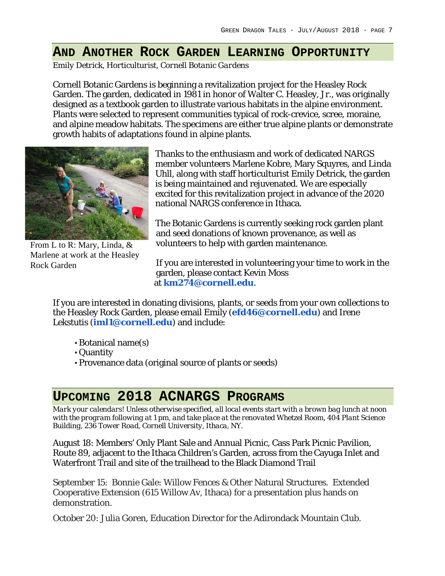## **AND ANOTHER ROCK GARDEN LEARNING OPPORTUNITY**

*Emily Detrick, Horticulturist, Cornell Botanic Gardens*

Cornell Botanic Gardens is beginning a revitalization project for the Heasley Rock Garden. The garden, dedicated in 1981 in honor of Walter C. Heasley, Jr., was originally designed as a textbook garden to illustrate various habitats in the alpine environment. Plants were selected to represent communities typical of rock-crevice, scree, moraine, and alpine meadow habitats. The specimens are either true alpine plants or demonstrate growth habits of adaptations found in alpine plants.



From L to R: Mary, Linda, & Marlene at work at the Heasley Rock Garden

Thanks to the enthusiasm and work of dedicated NARGS member volunteers Marlene Kobre, Mary Squyres, and Linda Uhll, along with staff horticulturist Emily Detrick, the garden is being maintained and rejuvenated. We are especially excited for this revitalization project in advance of the 2020 national NARGS conference in Ithaca.

The Botanic Gardens is currently seeking rock garden plant and seed donations of known provenance, as well as volunteers to help with garden maintenance.

If you are interested in volunteering your time to work in the garden, please contact Kevin Moss at **km274@cornell.edu**.

If you are interested in donating divisions, plants, or seeds from your own collections to the Heasley Rock Garden, please email Emily (**efd46@cornell.edu**) and Irene Lekstutis (**iml1@cornell.edu**) and include:

- Botanical name(s)
- Quantity
- Provenance data (original source of plants or seeds)

# **UPCOMING 2018 ACNARGS PROGRAMS**

*Mark your calendars! Unless otherwise specified, all local events start with a brown bag lunch at noon with the program following at 1 pm, and take place at the renovated Whetzel Room, 404 Plant Science Building, 236 Tower Road, Cornell University, Ithaca, NY.*

August 18: Members' Only Plant Sale and Annual Picnic, Cass Park Picnic Pavilion, Route 89, adjacent to the Ithaca Children's Garden, across from the Cayuga Inlet and Waterfront Trail and site of the trailhead to the Black Diamond Trail

September 15: Bonnie Gale: Willow Fences & Other Natural Structures. Extended Cooperative Extension (615 Willow Av, Ithaca) for a presentation plus hands on demonstration.

October 20: Julia Goren, Education Director for the Adirondack Mountain Club.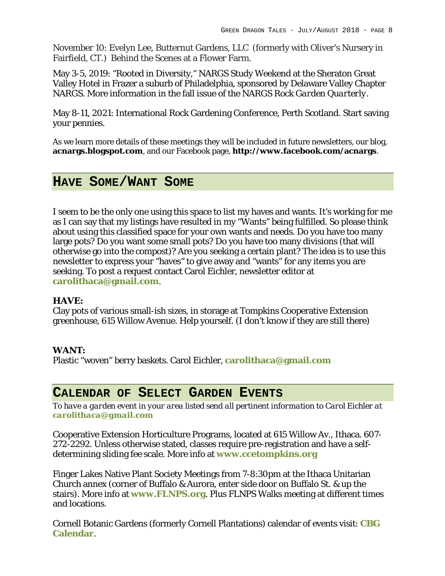November 10: Evelyn Lee, Butternut Gardens, LLC (formerly with Oliver's Nursery in Fairfield, CT.) Behind the Scenes at a Flower Farm.

May 3-5, 2019: "Rooted in Diversity," NARGS Study Weekend at the Sheraton Great Valley Hotel in Frazer a suburb of Philadelphia, sponsored by Delaware Valley Chapter NARGS. More information in the fall issue of the NARGS *Rock Garden Quarterly.*

May 8-11, 2021: International Rock Gardening Conference, Perth Scotland. Start saving your pennies.

As we learn more details of these meetings they will be included in future newsletters, our blog, **acnargs.blogspot.com**, and our Facebook page, **http://www.facebook.com/acnargs**.

## **HAVE SOME/WANT SOME**

I seem to be the only one using this space to list my haves and wants. It's working for me as I can say that my listings have resulted in my "Wants" being fulfilled. So please think about using this classified space for your own wants and needs. Do you have too many large pots? Do you want some small pots? Do you have too many divisions (that will otherwise go into the compost)? Are you seeking a certain plant? The idea is to use this newsletter to express your "haves" to give away and "wants" for any items you are seeking. To post a request contact Carol Eichler, newsletter editor at **carolithaca@gmail.com**.

### **HAVE:**

Clay pots of various small-ish sizes, in storage at Tompkins Cooperative Extension greenhouse, 615 Willow Avenue. Help yourself. (I don't know if they are still there)

### **WANT:**

Plastic "woven" berry baskets. Carol Eichler, **carolithaca@gmail.com**

## **CALENDAR OF SELECT GARDEN EVENTS**

*To have a garden event in your area listed send all pertinent information to Carol Eichler at carolithaca@gmail.com*

Cooperative Extension Horticulture Programs, located at 615 Willow Av., Ithaca. 607- 272-2292. Unless otherwise stated, classes require pre-registration and have a selfdetermining sliding fee scale. More info at **www.ccetompkins.org**

Finger Lakes Native Plant Society Meetings from 7-8:30pm at the Ithaca Unitarian Church annex (corner of Buffalo & Aurora, enter side door on Buffalo St. & up the stairs). More info at **www.FLNPS.org**. Plus FLNPS Walks meeting at different times and locations.

Cornell Botanic Gardens (formerly Cornell Plantations) calendar of events visit: **CBG Calendar**.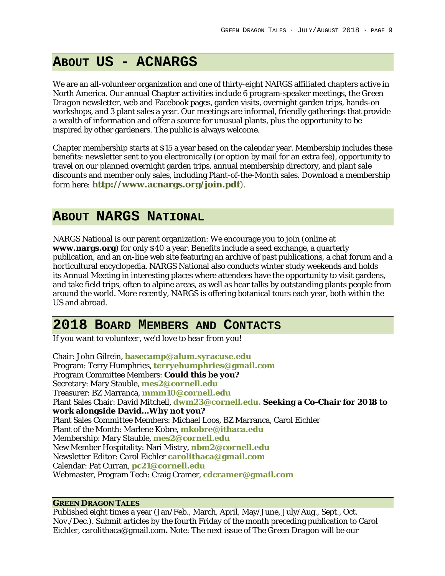## **ABOUT US - ACNARGS**

We are an all-volunteer organization and one of thirty-eight NARGS affiliated chapters active in North America. Our annual Chapter activities include 6 program-speaker meetings, the *Green Dragon* newsletter, web and Facebook pages, garden visits, overnight garden trips, hands-on workshops, and 3 plant sales a year. Our meetings are informal, friendly gatherings that provide a wealth of information and offer a source for unusual plants, plus the opportunity to be inspired by other gardeners. The public is always welcome.

Chapter membership starts at \$15 a year based on the calendar year. Membership includes these benefits: newsletter sent to you electronically (or option by mail for an extra fee), opportunity to travel on our planned overnight garden trips, annual membership directory, and plant sale discounts and member only sales, including Plant-of-the-Month sales. Download a membership form here: **http://www.acnargs.org/join.pdf**).

## **ABOUT NARGS NATIONAL**

NARGS National is our parent organization: We encourage you to join (online at **www.nargs.org**) for only \$40 a year. Benefits include a seed exchange, a quarterly publication, and an on-line web site featuring an archive of past publications, a chat forum and a horticultural encyclopedia. NARGS National also conducts winter study weekends and holds its Annual Meeting in interesting places where attendees have the opportunity to visit gardens, and take field trips, often to alpine areas, as well as hear talks by outstanding plants people from around the world. More recently, NARGS is offering botanical tours each year, both within the US and abroad.

## **2018 BOARD MEMBERS AND CONTACTS**

*If you want to volunteer, we'd love to hear from you!*

Chair: John Gilrein, **basecamp@alum.syracuse.edu** Program: Terry Humphries, **terryehumphries@gmail.com** Program Committee Members: **Could this be you?** Secretary: Mary Stauble, **mes2@cornell.edu** Treasurer: BZ Marranca, **mmm10@cornell.edu** Plant Sales Chair: David Mitchell, **dwm23@cornell.edu. Seeking a Co-Chair for 2018 to work alongside David…Why not you?** Plant Sales Committee Members: Michael Loos, BZ Marranca, Carol Eichler Plant of the Month: Marlene Kobre, **mkobre@ithaca.edu** Membership: Mary Stauble, **mes2@cornell.edu** New Member Hospitality: Nari Mistry, **nbm2@cornell.edu** Newsletter Editor: Carol Eichler **carolithaca@gmail.com** Calendar: Pat Curran, **pc21@cornell.edu** Webmaster, Program Tech: Craig Cramer, **cdcramer@gmail.com**

#### **GREEN DRAGON TALES**

Published eight times a year (Jan/Feb., March, April, May/June, July/Aug., Sept., Oct. Nov./Dec.). Submit articles by the fourth Friday of the month preceding publication to Carol Eichler, carolithaca@gmail.com**.** Note: The next issue of *The Green Dragon* will be our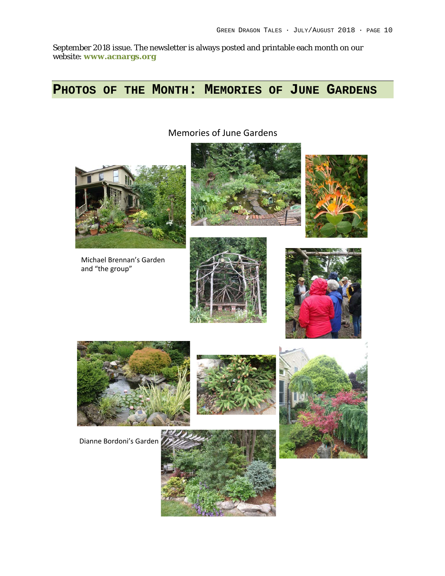September 2018 issue. The newsletter is always posted and printable each month on our website: **www.acnargs.org**

# **PHOTOS OF THE MONTH: MEMORIES OF JUNE GARDENS**

Memories of June Gardens



Michael Brennan's Garden and "the group"











Dianne Bordoni's Garden





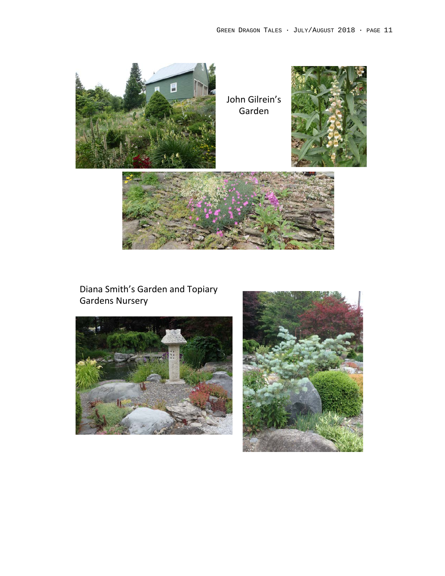

Diana Smith's Garden and Topiary Gardens Nursery